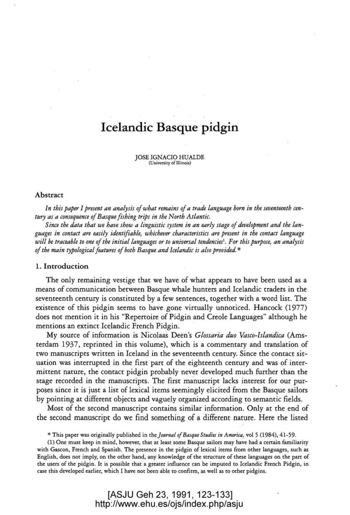# **Icelandic Basque pidgin**

JOSE IGNACIO HUALDE (University of Illinois)

## Abstract

*In this paper I present an analysis of what remains of a trade language born in the seventeenth century as a consequence of Basque fishing trips in the North Atlantic.* 

*Since the data that we have show a linguistic system in an early stage of development and the languages in contact are easily identifiable, whichever characteristics are present in the contact language will be traceable toone of the initial languages or to universal tendencies'. For this purpose, an analysis of the main typological features of both Basque and Icelandic is also provided.* \*

### 1. Introduction

The only remaining vestige that we have of what appears to have been used as a means of communication between Basque whale hunters and Icelandic traders in the seventeenth century is constituted by a few sentences, together with a word list. The existence of this pidgin seems to have gone virtually unnoticed. Hancock (1977) does not mention it in his "Repertoire of Pidgin and Creole Languages" although he mentions an extinct Icelandic French Pidgin.

My source of information is NicolaaS Deen's *Glossaria duo Vasco-Islandica* (Amsterdam 1937, reprinted in this volume), which is a commentary and translation of two manuscripts written in Iceland in the seventeenth century. Since the contact situation was interrupted in the first part of the eighteenth century and was of intermittent nature, the contact pidgin probably never developed much further than the stage recorded in the manuscripts. The first manuscript lacks interest for our purposes since it is just a list of lexical items seemingly elicited from the Basque sailors by pointing at different objects and vaguely organized according to semantic fields.

Most of the second manuscript contains similar information. Only at the end of the second manuscript do we find something of a different nature. Here the listed

\* This paper was originally published in the *Journal of Basque Studies in America,* vol 5 (1984),41-59.

(1) One must keep in mind, however, that at least some Basque sailors may have had a certain familiarity with Gascon, French and Spanish. The presence in the pidgin of lexical items from other languages, such as English, does not imply, on the other hand, any knowledge of the structure of these languages on the part of the users of the pidgin. It is possible that a greater influence can be imputed to Icelandic French Pidgin, in case this developed earlier, which I have not been able to confirm, as well as to other pidgins.

> [ASJU Geh 23, 1991, 123-133] <http://www.ehu.es/ojs/index.php/asju>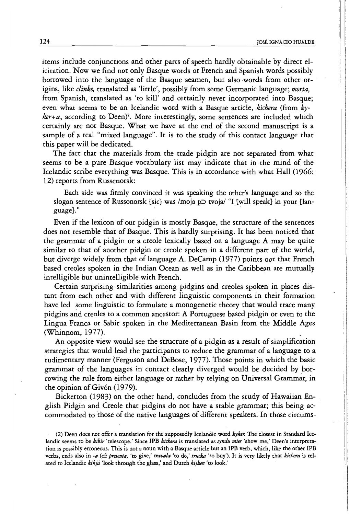items include conjunctions and other parts of speech hardly obtainable by direct elicitation. Now we find not only Basque words or French and Spanish words possibly borrowed into the language of the Basque seamen, but also words from other origins, like *clinke,* translated as 'little', possibly from some Germanic language; *morta,*  from Spanish, translated as 'to kill' and certainly never incorporated into Basque; even what seems to be an Icelandic word with a Basque article, *kichera* (from *kyker+a,* according to Deen)2. More interestingly, some sentences are included which certainly are not Basque. What we have at the end of the second manuscript is a sample of a real "mixed language". It is to the study of this contact language that this paper will be dedicated.

The fact that the materials from the trade pidgin are not separated from what seems to be a pure Basque vocabulary list may indicate that in the mind of the Icelandic scribe everything was Basque. This is in accordance with what Hall (1966: 12) reports from Russenorsk:

Each side was firmly convinced it was speaking the other's language and so the slogan sentence of Russonorsk [sic] was /moja  $p$  tvoja/ "I [will speak] in your [language}." .

Even if the lexicon of Out pidgin is mostly Basque, the sttucture of the sentences does not resemble that of Basque. This is hardly surprising. It has been noticed that the grammar of a pidgin or a creole lexically based on a language A may be quite similar to that of another pidgin or creole spoken in a different part of the world, but diverge widely from that of language A. DeCamp (1977) points out that French based creoles spoken in the Indian Ocean as well as in the Caribbean are mutually intelligible but unintelligible with French. .

Certain surprising similarities among pidgins and creoles spoken in places distant from each other and with different linguistic components in their formation have led some linguistic to formulate a monogenetic theory that would trace many pidgins and creoles to a common ancestor: A Portuguese based pidgin or even to the Lingua Franca or Sabir spoken in the Mediterranean Basin from the Middle Ages (Whinnom, 1977).

An opposite view would see the structure of a pidgin as a result of simplification strategies that would lead the participants to reduce the grammar of a language to a tudimentary manner (Ferguson and DeBose, 1977). Those points in which the basic grammar of the languages in contact clearly diverged would be decided by borrowing the rule from either language or rather by relying on Universal Grammar, in the opinion of Givón (1979).

Bickerton (1983) on the other hand, concludes from the study of Hawaiian English Pidgin and Creole that pidgins do not have a stable grammar; this being accommodated to those of the native languages of different speakers. In those circums-

(2) Deen does not offer a translation for the supposedly Icelandic word *kyker.* The closest in Standard Icelandic seems to be *kikir* 'telescope.' Since IPB *kiehera* is translated as *syndu mier* 'show me,' Deen's interpretation is possibly erroneous. This is not a noun with a Basque article but an IPB verb, which, like the other IPB verbs, ends also in *-a* (cf: *presenta,* 'to give,' *travala* 'to do,' *trutka* 'to buy'). It is very likely that *kichera* is related to Icelandic *kikja* 'look through the glass,' and Dutch *kijken* 'to look.'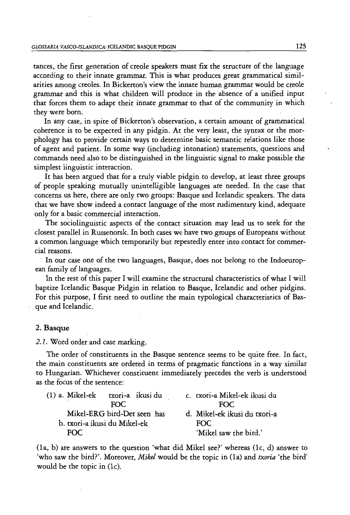### *GLOSSARIA VASCO-ISLANDICA:* ICELANDIC BASQUE PIDGIN 125

tances, the first generation of creole speakers must fix the structure of the language according to their innate grammar. This is what produces great grammatical similarities among creoles. In Bickerton's view the innate human grammar would be creole grammar and this is what children will produce in the absence of a unified input that forces them to adapt their innate grammar to that of the community in which they were born.

In any case, in spite of Bickerton's observation, a certain amount of grammatical coherence is to be expected in any pidgin. At the very least, the syntax or the morphology has to provide certain ways to determine basic semantic relations like those of agent and patient. In some way (including intonation) statements, questions and commands need also to be distinguished in the linguistic signal to make possible the simplest linguistic interaction.

It has been argued that for a truly viable pidgin to develop, at least three groups of people speaking mutually unintelligible languages are needed. In the case that concerns us here, there are only two groups: Basque and Icelandic speakers. The data that we have show indeed a contact language of the most rudimentary kind, adequate only for a basic commercial interaction.

The sociolinguistic aspects of the contact situation may lead us to seek for the closest parallel in Russenorsk. In both cases we have two groups of Europeans without a common language which temporarily but repeatedly enter into contact for commercial reasons.

In our case one of the two languages, Basque, does not belong to the Indoeuropean family of languages.

In the rest of this paper I will examine the structural characteristics of what I will baptize Icelandic Basque Pidgin in relation to Basque, Icelandic and other pidgins. For this purpose, I first need to outline the main typological characteristics of Basque and Icelandic.

## 2. Basque

# 2.1. Word order and case marking.

The order of constituents in the Basque sentence seems to be quite free. In fact, the main constituents are ordered in terms of pragmatic functions in a way similar to Hungarian. Whichever constituent immediately precedes the verb is understood as the focus of the sentence:

| $(1)$ a. Mikel-ek            |      | txori-a) ikusi du | c. txori-a Mikel-ek ikusi du |
|------------------------------|------|-------------------|------------------------------|
|                              | FOC. |                   | FOC.                         |
| Mikel-ERG bird-Det seen has  |      |                   | d. Mikel-ek ikusi du txori-a |
| b. txori-a ikusi du Mikel-ek |      |                   | FOC.                         |
| FOC                          |      |                   | 'Mikel saw the bird.'        |

(la, b) are answers to the question 'what did Mikel see?' whereas (lc, d) answer to 'who saw the bird?'. Moreover, *Mikel* would be the topic in (la) and *txoria* 'the bird' would be the topic in (Ic).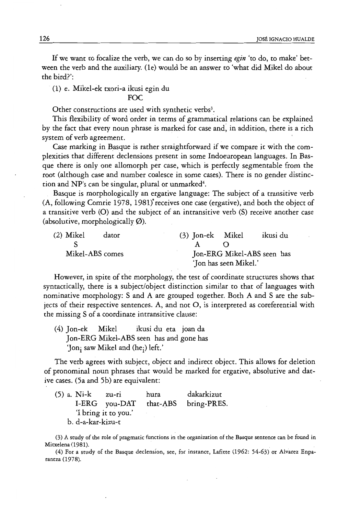If we want to focalize the verb, we can do so by inserting *egin* 'to do, to make' between the verb and the auxiliary. (Ie) would be an answer to 'what did Mikel do about the bird?':

(1) e. Mikel-ek txori-a ikusi egin du

# FOC

Other constructions are used with synthetic verbs<sup>3</sup>.

This flexibility of word order in terms of grammatical relations can be explained by the fact that every noun phrase is marked for case and; in addition, there is a rich system of verb agreement.

Case marking in Basque is rather straightforward if we compare it with the complexities that different declensions present in some Indoeuropean languages. **In** Basque there is only one allomorph per case, which is perfectly segmentable from the root (although case and number coalesce in some cases). There is no gender distinction and NP's can be singular, plural or unmarked<sup>4</sup>.

Basque is morphologically an ergative language: The subject of a transitive verb (A, following Comrie 1978, 1981)' receives one case (ergative), and both the object of a transitive verb (0) and the subject of an intransitive verb (S) receive another case (absolutive, morphologically  $\varnothing$ ).

| $(2)$ Mikel | dator           | (3) Jon-ek Mikel |                       | ikusi du                   |
|-------------|-----------------|------------------|-----------------------|----------------------------|
|             |                 |                  |                       |                            |
|             | Mikel-ABS comes |                  |                       | Jon-ERG Mikel-ABS seen has |
|             |                 |                  | 'Jon has seen Mikel.' |                            |

However, in spite of the morphology, the test of coordinate structures shows that syntactically, there is a subject/object distinction similar to that of languages with nominative morphology: S and A are grouped together. Both A and S are the subjects of their respective sentences. A, and not 0, is interpreted as coreferential with the missing S of a coordinate intransitive clause:

(4) Jon-ek Mikel ikusi du eta joan da Jon-ERG Mikel-ABS seen has and gone has 'Jon; saw Mikel and (he;) left.'

The verb agrees with subject, object and indirect object. This allows for deletion of pronominal noun phrases that would be marked for ergative, absolutive and dative cases. (5a and 5b) are equivalent:

|                   | (5) a. Ni-k | zu-ri                | hura | dakarkizut           |
|-------------------|-------------|----------------------|------|----------------------|
|                   |             | I-ERG you-DAT        |      | that-ABS bring-PRES. |
|                   |             | 'I bring it to you.' |      |                      |
| b. d-a-kar-kizu-t |             |                      |      |                      |

(3) A study of the role of pragmatic functions in the organization of the Basque sentence can be found in Mitxelena (1981).

(4) For a study of the Basque declension, see, for instance, Lafitte (1962: 54-63) or Alvarez Enparantza (1978).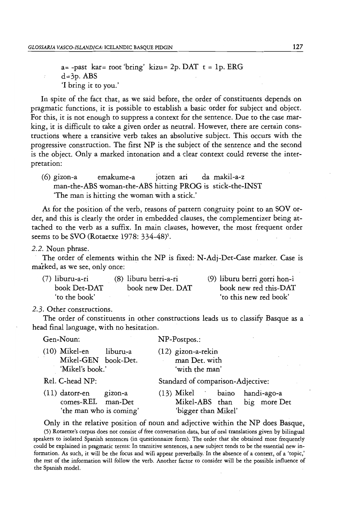$a$ = -past kar= root 'bring' kizu= 2p. DAT t = 1p. ERG  $d=3p.$  ABS 'I bring it to you.'

In spite of the fact that, as we said before, the order of constituents depends on pragmatic functions, it is possible to establish a basic order for subject and object. For this, it is not enough to suppress a context for the sentence. Due to the case marking, it is difficult to take a given order as neutral. However, there are certain constructions where a transitive verb takes an absolutive subject. This occurs with the progressive construction. The first NP is the subject of the sentence and the second is the object. Only a marked intonation and a clear context could reverse the interpretation:

(6) gizon-a emakume-a jotzen ari da makil-a-z man-the-ABS woman-the-ABS hitting PROG is stick-the-INST 'The man is hitting the woman with a stick.'

As for the position of the verb, reasons of pattern congruity point to an SOV order, and this is clearly the order in embedded clauses, the complementizer being attached to the verb as a suffix. In main clauses, however, the most frequent order seems to be SVO (Rotaetxe 1978: 334-48)<sup>5</sup>.

2.2. Noun phrase.

The order of elements within the NP is fixed: N-Adj-Det-Case marker. Case is marked, as we see, only once:

| (7) liburu-a-ri | (8) liburu berri-a-ri | (9) liburu berri gorri hon-i |
|-----------------|-----------------------|------------------------------|
| book Det-DAT    | book new Det. DAT     | book new red this-DAT        |
| 'to the book'   |                       | 'to this new red book'       |

2.3. Other constructions.

The order of constituents in other constructions leads us to classify Basque as a head final language, with ho hesitation.

Gen-Noun: NP-Postpos.:

(12) gizon-a-rekin man Det. with

(10) Mikel-en liburu-a Mikel-GEN book-Det. 'Mikel's book.'

comes-REL man-Det

gizon-a

'with the man' Standard of comparison-Adjective:

Rel. C-head NP: (11) datorr-en

(13) Mikel baino handi-ago-a Mikel-ABS than big more Det 'the man who is coming' 'bigger than Mikel'

Only in the relative position of noun and adjective within the NP does Basque,

(5) Rotaetxe's corpus does not consist of free conversation data, but of oral translations given by bilingual speakers to isolated Spanish sentences (in questionnaire form). The order that she obtained most frequently could be explained in pragmatic terms: In transitive sentences, a new subject tends to be the essential new information. As such, it will be the focus and will appear preverbally. In the absence of a context, of a 'topic,' the rest of the information will follow the verb. Another factor to consider will be the possible influence of the Spanish model.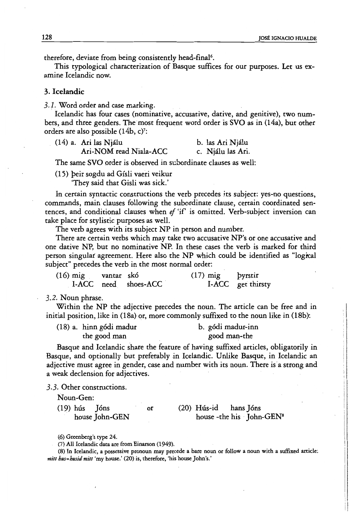therefore, deviate from being consistently head-final<sup>6</sup>.

This typological characterization of Basque suffices for our purposes. Let us examine Icelandic now.

## 3. Icelandic

3.1. Word order and case marking.

Icelandic has four cases (nominative, accusative, dative, and genitive), two numbers, and three genders. The most frequent word order is SVO as in (14a), but other orders are also possible (14b, c)':

(14) a. Ari las Njalu b. las Ari NjaIu Ari-NOM read Niala-ACC c. Njálu las Ari.

The same SVO order is observed in subordinate clauses as well:

(15) peir sogdu ad Gfsli vaeri veikur

'They said that Gisli was sick.'

In certain syntactic constructions the verb precedes its subject: yes-no questions, commands, main clauses following the subordinate clause, certain coordinated sentences, and conditional clauses when *ef* 'if is omitted. Verb-subject inversion can take place for stylistic purposes as well.

The verb agrees with its subject NP in person and number.

There are certain verbs which may take two accusative NP's or one accusative and one dative NP, but no nominative NP. **In** these cases the verb is marked for third person singular agreement. Here also the NP which could be identified as "logical subject" precedes the verb in the most normal order:

| $(16)$ mig | vantar skó |                      | $(17)$ mig | <b>byrstir</b>    |
|------------|------------|----------------------|------------|-------------------|
|            |            | I-ACC need shoes-ACC |            | I-ACC get thirsty |

3.2. Noun phrase.

Within the NP the adjective precedes the noun. The article can be free and in initial position, like in (18a) or, more commonly suffixed to the noun like in (18b):

| (18) a. hinn gódi madur | b. gódi madur-inn |
|-------------------------|-------------------|
| the good man            | good man-the      |

Basque and Icelandic share the feature of having suffixed articles, obligatorily in Basque, and optionally but preferably in Icelandic. Unlike Basque, in Icelandic an adjective must agree in gender, case and number with its noun. There is a strong and a weak declension for adjectives.

3.3. Other constructions.

Noun-Gen:

 $(19)$  hús Jóns or  $(20)$  Hús-id hans Jóns house John-GEN house -the his John-GEN<sup>s</sup>

(6) Greenberg's type 24.

(7) All Icelandic data are from Einarson (1949).

(8) In Icelandic, a possessive pronoun may precede a bare noun or follow a noun with a suffixed article: *mitt hus=husid mitt* 'my house.' (20) is, therefore, 'his house John's.'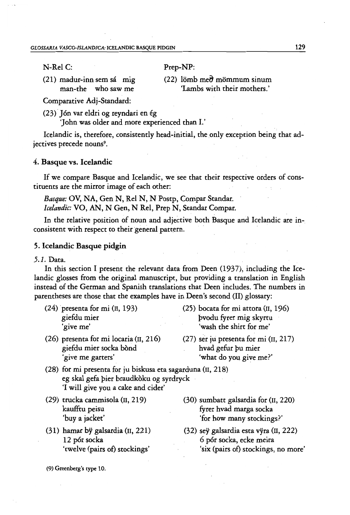N-Rel C:

Prep-NP:

- (21) madur-inn sem sa mig man-the who saw me
- $(22)$  lömb me $\partial$  mömmum sinum 'Lambs with their mothers.'

Comparative Adj-Standard:

(23) Ión var eldri og reyndari en ég

'John was older and more experienced than I.'

Icelandic is, therefore, consistently head-initial, the only exception being that adjectives precede nouns<sup>9</sup>.

## 4. Basque vs. Icelandic

If we compare Basque and Icelandic, we see that their respective orders of constituents are the mirror image of each other:

*Basque:* OV, NA, Gen N, Rel N, N Postp, Compar Standar. *Icelandic:* VO, AN, N Gen, N ReI, Prep N, Standar Compar.

In the relative position of noun and adjective both Basque and Icelandic are inconsistent with respect to their general pattern.

# 5. Icelandic Basque pidgin

# 5.1. Data.

In this section I present the relevant data from Deen (1937), including the Icelandic glosses from the original manuscript, but providing a translation in English instead of the German and Spanish translations that Deen includes. The numbers in parentheses are those that the examples have in Deen's second (II) glossary:

- 
- $(24)$  presenta for mi (II, 193) (25) bocata for mi attora (II, 196) giefdu mier pvodu fyrer mig skyrtu 'give me' 'wash the shirt for me'
- (26) presenta for mi locaria (II, 216) (27) ser ju presenta for mi (II, 217) giefdu mier socka bònd hvad gefur pu mier 'give me garters' 'what do you give me?'
- 
- (28) for mi presenta for ju biskusa eta, sagarduna (II, 218) eg skal gefa pier braudkoku og syrdryck 'I will give you a cake and cider'
- (29) trucka cammisola (II,219) kaufftu peisu 'buy a jacket'
- (31) hamar by galsardia (11,221) 12 pór socka 'twelve (pairs of) stockings'
- (30) sumbatt galsardia for (II, 220) fyrer hvad marga socka 'for how many stockings?'
- (32) sey galsardia esta ryra (II, 222) 6 por socka, ecke meira 'six (pairs of) stockings, no more'

(9) Greenberg's type 10.

129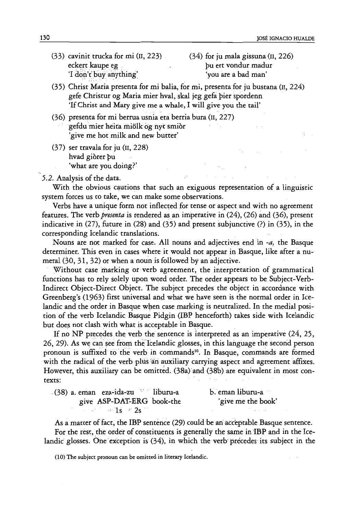- eckert kaupe eg van die vondur madur van die pu ert vondur madur 'I don't buy anything' 'you are a bad man'
- (33) cavinit trucka for mi  $(II, 223)$  (34) for ju mala gissuna  $(II, 226)$
- (35) Christ Maria presenta for mi balia, for mi, presenta for ju bustana (II, 224) gefe Christur og Maria mier hval, skal jeg gefa pier spordenn 'If Christ and Mary give me a whale, I will give you the tail'
- (36) presenta for mi berrua usnia eta berria bura (II, 227) gefdu'mier heira miolk og nyc smior 'give me hot milk and new burter'
- (37) ser travala for ju (II, 228) hvad giorer pu 'what are you doing?'

## 5.2. Analysis of the data,

With the obvious qutions that such an exiguous representation of a linguistic system forces us to take, we can make some observations,

Verbs have a unique form not inflected for tense or aspect and with no agreement features. The verb *presenta* is rendered asan imperative in (24), (26) and (36), present indicative in (27), future in (28) and (35) and present subjunctive (?) in (35), in the corresponding Icelandic translations.

Nouns are not marked for case. All nouns and adjectives end in *-a,* the Basque determiner. This even in cases where it would not appear in Basque, like after a numeral (30,31,32) or when a noun is followed by an adjective.

Without case marking or verb agreement, the interpretation of grammatical functions has to rely solely upon word order. The order appears to be Subject-Verb-Indirect Object-Direct Object. The subject precedes the object in accordance with Greenberg's (1963) first universal and what we have seen is the normal order in Icelandic and the order in Basque when case marking is neutralized. In the medial position of the verb Icelandic Basque Pidgin (IBP henceforth) takes side with Icelandic but does not clash with what is acceptable in Basque.

If no NP precedes the verb the sentence is interpreted as an imperative  $(24, 25, 16)$ 26, 29). As we can see from the Icelandic glosses, in this language the second person pronoun is suffixed to the verb in commands<sup>10</sup>. In Basque, commands are formed with the radical of the verb plus an auxiliary carrying aspect and agreement affixes. However, this auxiliary can be omitted. (38a) and (38b) are equivalent in most contexts:

| (38) a. eman eza-ida-zu liburu-a | b. eman liburu-a   |
|----------------------------------|--------------------|
| give ASP-DAT-ERG book-the        | 'give me the book' |
| $\sim$ 1s $\approx$ 2s $\sim$    |                    |

As a matter of fact, the IBP sentence (29) could be an acceptable Basque sentence.

For the rest, the order of constituents is generally the same in IBP and in the Icelandic glosses. One exception is  $(34)$ , in which the verb precedes its subject in the

(10) The subject pronoun can be omitted in literary Icelandic.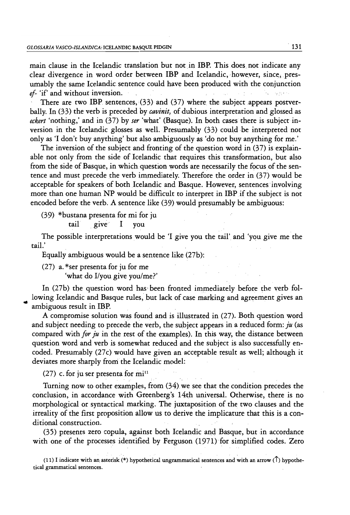main clause in the Icelandic translation but not in IBP. This does not indicate any clear divergence in word order between IBP and Icelandic, however, since, presumably the same Icelandic sentence could have been produced with the conjunction main clause in the icelandic translation but not in IBP. This does not indicate<br>clear divergence in word order between IBP and Icelandic, however, since, p<br>umably the same Icelandic sentence could have been produced with t

There are two IBP sentences, (33) and (37) where the subject appears postverbally. In (33) the verb is preceded by *cavinit,* of dubious interpretation and glossed.as *eckert* 'nothing; and in (37) by *ser* 'what' (Basque). In both cases there is subject inversion in the Icelandic glosses as well. Presumably  $(33)$  could be interpreted not only as 'I don't buy anything' but also ambiguously as 'do not buy anything for me.'

The inversion of the subject and fronting of the question word in (37) is explainable not only from the side of Icelandic that requires this transformation, but also from the side of Basque, in which question words are necessarily the focus of the sentence and must precede the verb immediately. Therefore the order in (37) would be acceptable for speakers of both Icelandic and Basque. However, sentences involving more than one human NP would be difficult to interpret in **IBP** if the subject is not encoded before the verb. A sentence like (39) would presumably be ambiguous:

(39) \*bustana presenta for mi for ju

tail give I you

The possible interpretations would be 'I give you the tail' and 'you give me the tail.'

Equally ambiguous would be a sentence like (27b):

(27) a. \*ser presenta for ju for me 'what do I/you give you/me?'

In (27b) the question word has been fronted immediately before the verb following Icelandic and Basque rules, but lack of case marking and agreement gives an ambiguous result in IBP.

A compromise solution was found and is illustrated in  $(27)$ . Both question word and subject needing to precede the verb, the subject appears in a reduced form:  $ju$  (as compared with *for ju* in the rest of the examples). In this way, the distance between question word and verb is somewhat reduced and the subject is also successfully encoded. Presumably (27c) would have given an acceptable result as well; although it deviates more sharply from' the Icelandic model:

(27) c. for ju ser presenta for  $mi<sup>11</sup>$ 

Turning now to other examples, from (34) we see that the condition precedes the conclusion, in accordance with Greenberg's 14th universal. Otherwise, there is no morphological or syntactical marking. The juxtaposition of the two clauses and the irreality of the first proposition allow us to derive the implicature that this is a conditional construction.

(35) presents zero copula, against both Icelandic and Basque, but in accordance with one of the processes identified by Ferguson (1971) for simplified codes. Zero

(11) I indicate with an asterisk  $(*)$  hypothetical ungrammatical sentences and with an arrow ( $\uparrow$ ) hypothetical grammatical sentences.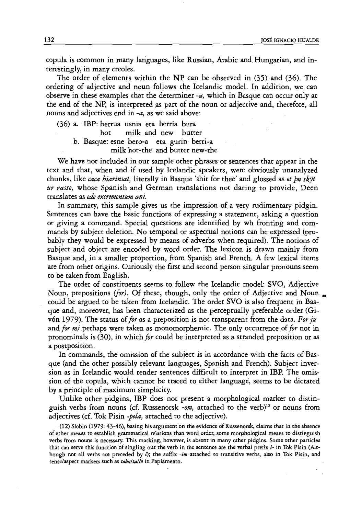copula is common in many languages, like Russian, Arabic and Hungarian, and interestingly, in many creoles.

The order of elements within the NP can be observed in (35) and (36). The ordering of adjective and noun follows the Icelandic model. In addition, we can observe in these examples that the determiner *-a,* which in Basque can occur only at the end of the NP, is interpreted as part of the noun or adjective and, therefore, all .nouns and adjectives end in *-a,* as we said above:

(36) a. IBP: berrua usnia eta berria bura hot milk and new butter h. Basque: esne bero-a eta gurin· berri-a milk hot-the and butter new-the

We have not included in our sample other phrases or sentences that appear in the text and that, when and if used by Icelandic speakers, were obviously unanalyzed chunks, like *caca hiarinsat*, literally in Basque 'shit for thee' and glossed as *et bu skyt ur rasse,* whose Spanish and German translations not daring to provide, Deen translates as *ede excrementum ani.* 

In summary, this sample gives us the impression of a very rudimentary pidgin. Sentences can have the basic functions of expressing a statement, asking a question or giving a command. Special questions are identified by wh fronting and commands by subject deletion. No temporal or aspectual notions can be expressed (probably they would be expressed by means of adverbs when required). The notions of subject and object are encoded by word order. The lexicon is drawn mainly from Basque and, in a smaller proportion, from Spanish and French. A few lexical items are from other origins. Curiously the first and second person singular pronouns seem to be taken from English.

The order of constituents seems to follow the Icelandic model: SVO, Adjective Noun, prepositions *(for)*. Of these, though, only the order of Adjective and Noun. could be argued to be taken from Icelandic. The order SVO is also frequent in Basque and, moreover, has been characterized as the perceptually preferable order (Givon 1979). The status of *for* as a preposition is not transparent from the data. *For ju*  and *for* miperhaps were taken as monomorphemic. The only occurrence of *for* not in pronominals is (30), in which *for* could be interpreted as a stranded preposition or as a postposition.

In commands, the omission of the subject is in accordance with the facts of Basque (and the other possibly relevant languages, Spanish and French). Subject inversion as in Icelandic would render sentences difficult to interpret in IBP. The omission of the copula, which cannot be traced to either language, seems to be dictated by a principle of maximum simplicity.

Unlike other pidgins, IBP does not present a morphological marker to distinguish verbs from nouns (cf. Russenorsk *-om*, attached to the verb)<sup>12</sup> or nouns from adjectives (cf. Tok Pisin -pela, attached to the adjective).

. (12) Slobin (1979: 43-46), basing his argument on the evidence of Russenorsk, claims that in the absence of other means to establish grammatical relations than word order, some morphological means to distinguish verbs from nouns is necessary. This marking, however, is absent in many other pidgins. Some other particles that can serve this function of singling out the verb in the sentence are the verbal prefix i- in Tok Pisin (Although not all verbs are preceded by i); the suffix *-im* attached to transitive verbs, also in Tok Pisin, and tense/aspect markers such as *tabaltalio* in Papiamento.